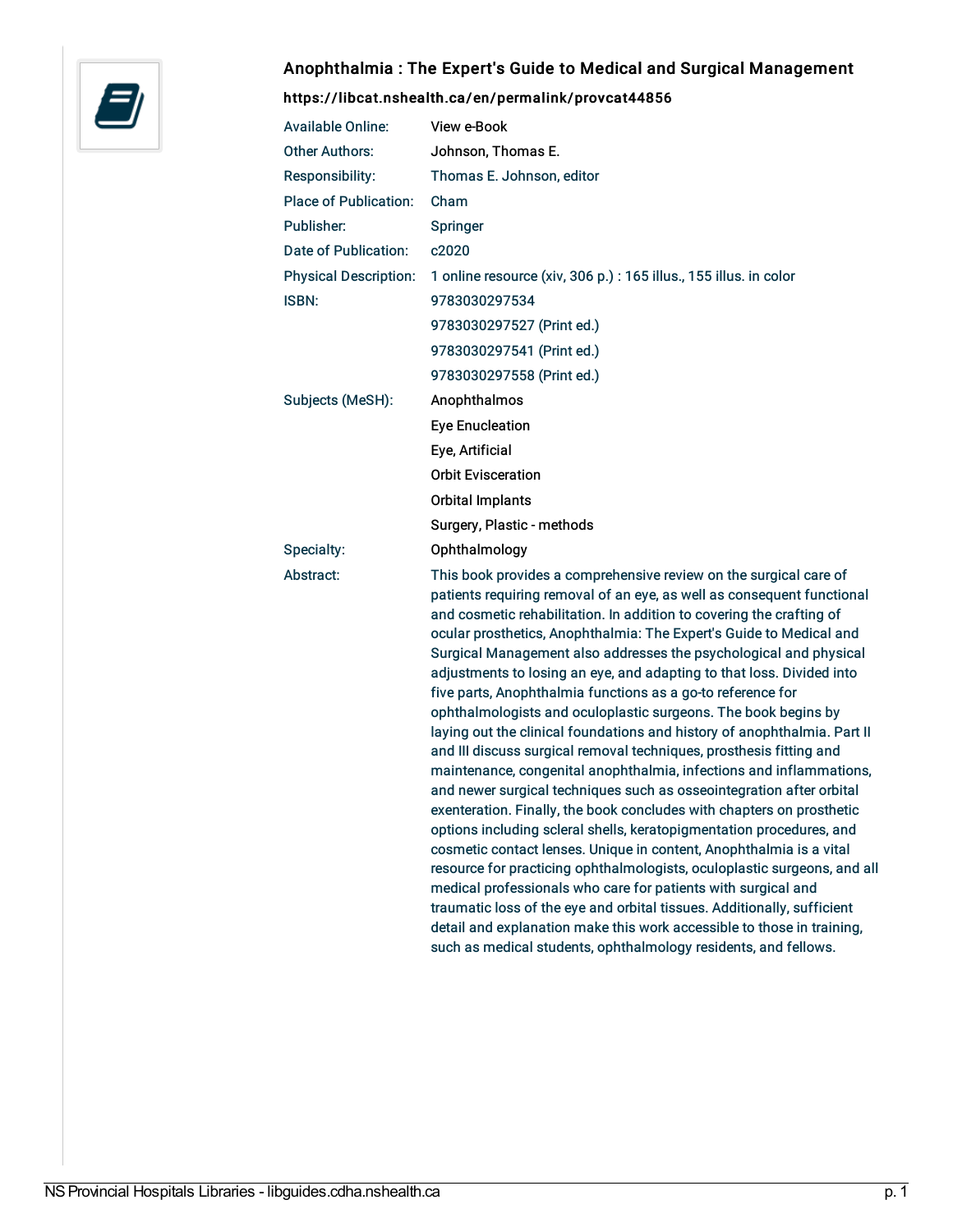

## Anophthalmia : The Expert's Guide to Medical and Surgical Management

## <https://libcat.nshealth.ca/en/permalink/provcat44856>

| <b>Available Online:</b>     | View e-Book                                                                                                                                                                                                                                                                                                                                                                                                                                                                                                                                                                                                                                                                                                                                                                                                                                                                                                                                                                                                                                                                                                                                                                                                                                                                                                                                                                                                                                                              |
|------------------------------|--------------------------------------------------------------------------------------------------------------------------------------------------------------------------------------------------------------------------------------------------------------------------------------------------------------------------------------------------------------------------------------------------------------------------------------------------------------------------------------------------------------------------------------------------------------------------------------------------------------------------------------------------------------------------------------------------------------------------------------------------------------------------------------------------------------------------------------------------------------------------------------------------------------------------------------------------------------------------------------------------------------------------------------------------------------------------------------------------------------------------------------------------------------------------------------------------------------------------------------------------------------------------------------------------------------------------------------------------------------------------------------------------------------------------------------------------------------------------|
| <b>Other Authors:</b>        | Johnson, Thomas E.                                                                                                                                                                                                                                                                                                                                                                                                                                                                                                                                                                                                                                                                                                                                                                                                                                                                                                                                                                                                                                                                                                                                                                                                                                                                                                                                                                                                                                                       |
| <b>Responsibility:</b>       | Thomas E. Johnson, editor                                                                                                                                                                                                                                                                                                                                                                                                                                                                                                                                                                                                                                                                                                                                                                                                                                                                                                                                                                                                                                                                                                                                                                                                                                                                                                                                                                                                                                                |
| <b>Place of Publication:</b> | Cham                                                                                                                                                                                                                                                                                                                                                                                                                                                                                                                                                                                                                                                                                                                                                                                                                                                                                                                                                                                                                                                                                                                                                                                                                                                                                                                                                                                                                                                                     |
| Publisher:                   | Springer                                                                                                                                                                                                                                                                                                                                                                                                                                                                                                                                                                                                                                                                                                                                                                                                                                                                                                                                                                                                                                                                                                                                                                                                                                                                                                                                                                                                                                                                 |
| Date of Publication:         | c2020                                                                                                                                                                                                                                                                                                                                                                                                                                                                                                                                                                                                                                                                                                                                                                                                                                                                                                                                                                                                                                                                                                                                                                                                                                                                                                                                                                                                                                                                    |
| <b>Physical Description:</b> | 1 online resource (xiv, 306 p.) : 165 illus., 155 illus. in color                                                                                                                                                                                                                                                                                                                                                                                                                                                                                                                                                                                                                                                                                                                                                                                                                                                                                                                                                                                                                                                                                                                                                                                                                                                                                                                                                                                                        |
| <b>ISBN:</b>                 | 9783030297534                                                                                                                                                                                                                                                                                                                                                                                                                                                                                                                                                                                                                                                                                                                                                                                                                                                                                                                                                                                                                                                                                                                                                                                                                                                                                                                                                                                                                                                            |
|                              | 9783030297527 (Print ed.)                                                                                                                                                                                                                                                                                                                                                                                                                                                                                                                                                                                                                                                                                                                                                                                                                                                                                                                                                                                                                                                                                                                                                                                                                                                                                                                                                                                                                                                |
|                              | 9783030297541 (Print ed.)                                                                                                                                                                                                                                                                                                                                                                                                                                                                                                                                                                                                                                                                                                                                                                                                                                                                                                                                                                                                                                                                                                                                                                                                                                                                                                                                                                                                                                                |
|                              | 9783030297558 (Print ed.)                                                                                                                                                                                                                                                                                                                                                                                                                                                                                                                                                                                                                                                                                                                                                                                                                                                                                                                                                                                                                                                                                                                                                                                                                                                                                                                                                                                                                                                |
| Subjects (MeSH):             | Anophthalmos                                                                                                                                                                                                                                                                                                                                                                                                                                                                                                                                                                                                                                                                                                                                                                                                                                                                                                                                                                                                                                                                                                                                                                                                                                                                                                                                                                                                                                                             |
|                              | <b>Eye Enucleation</b>                                                                                                                                                                                                                                                                                                                                                                                                                                                                                                                                                                                                                                                                                                                                                                                                                                                                                                                                                                                                                                                                                                                                                                                                                                                                                                                                                                                                                                                   |
|                              | Eye, Artificial                                                                                                                                                                                                                                                                                                                                                                                                                                                                                                                                                                                                                                                                                                                                                                                                                                                                                                                                                                                                                                                                                                                                                                                                                                                                                                                                                                                                                                                          |
|                              | <b>Orbit Evisceration</b>                                                                                                                                                                                                                                                                                                                                                                                                                                                                                                                                                                                                                                                                                                                                                                                                                                                                                                                                                                                                                                                                                                                                                                                                                                                                                                                                                                                                                                                |
|                              | <b>Orbital Implants</b>                                                                                                                                                                                                                                                                                                                                                                                                                                                                                                                                                                                                                                                                                                                                                                                                                                                                                                                                                                                                                                                                                                                                                                                                                                                                                                                                                                                                                                                  |
|                              | Surgery, Plastic - methods                                                                                                                                                                                                                                                                                                                                                                                                                                                                                                                                                                                                                                                                                                                                                                                                                                                                                                                                                                                                                                                                                                                                                                                                                                                                                                                                                                                                                                               |
| Specialty:                   | Ophthalmology                                                                                                                                                                                                                                                                                                                                                                                                                                                                                                                                                                                                                                                                                                                                                                                                                                                                                                                                                                                                                                                                                                                                                                                                                                                                                                                                                                                                                                                            |
| Abstract:                    | This book provides a comprehensive review on the surgical care of<br>patients requiring removal of an eye, as well as consequent functional<br>and cosmetic rehabilitation. In addition to covering the crafting of<br>ocular prosthetics, Anophthalmia: The Expert's Guide to Medical and<br>Surgical Management also addresses the psychological and physical<br>adjustments to losing an eye, and adapting to that loss. Divided into<br>five parts, Anophthalmia functions as a go-to reference for<br>ophthalmologists and oculoplastic surgeons. The book begins by<br>laying out the clinical foundations and history of anophthalmia. Part II<br>and III discuss surgical removal techniques, prosthesis fitting and<br>maintenance, congenital anophthalmia, infections and inflammations,<br>and newer surgical techniques such as osseointegration after orbital<br>exenteration. Finally, the book concludes with chapters on prosthetic<br>options including scleral shells, keratopigmentation procedures, and<br>cosmetic contact lenses. Unique in content, Anophthalmia is a vital<br>resource for practicing ophthalmologists, oculoplastic surgeons, and all<br>medical professionals who care for patients with surgical and<br>traumatic loss of the eye and orbital tissues. Additionally, sufficient<br>detail and explanation make this work accessible to those in training,<br>such as medical students, ophthalmology residents, and fellows. |